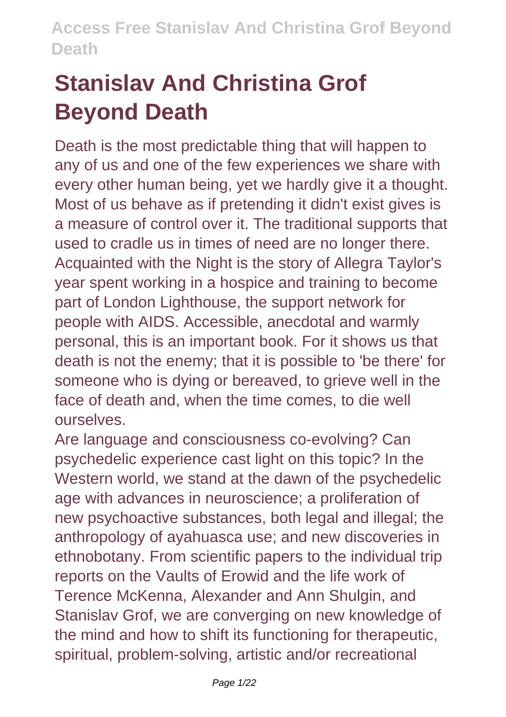# **Stanislav And Christina Grof Beyond Death**

Death is the most predictable thing that will happen to any of us and one of the few experiences we share with every other human being, yet we hardly give it a thought. Most of us behave as if pretending it didn't exist gives is a measure of control over it. The traditional supports that used to cradle us in times of need are no longer there. Acquainted with the Night is the story of Allegra Taylor's year spent working in a hospice and training to become part of London Lighthouse, the support network for people with AIDS. Accessible, anecdotal and warmly personal, this is an important book. For it shows us that death is not the enemy; that it is possible to 'be there' for someone who is dying or bereaved, to grieve well in the face of death and, when the time comes, to die well ourselves.

Are language and consciousness co-evolving? Can psychedelic experience cast light on this topic? In the Western world, we stand at the dawn of the psychedelic age with advances in neuroscience; a proliferation of new psychoactive substances, both legal and illegal; the anthropology of ayahuasca use; and new discoveries in ethnobotany. From scientific papers to the individual trip reports on the Vaults of Erowid and the life work of Terence McKenna, Alexander and Ann Shulgin, and Stanislav Grof, we are converging on new knowledge of the mind and how to shift its functioning for therapeutic, spiritual, problem-solving, artistic and/or recreational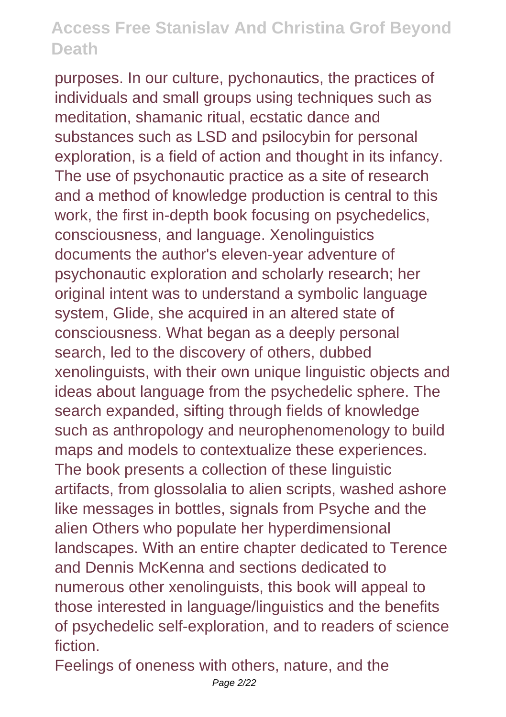purposes. In our culture, pychonautics, the practices of individuals and small groups using techniques such as meditation, shamanic ritual, ecstatic dance and substances such as LSD and psilocybin for personal exploration, is a field of action and thought in its infancy. The use of psychonautic practice as a site of research and a method of knowledge production is central to this work, the first in-depth book focusing on psychedelics, consciousness, and language. Xenolinguistics documents the author's eleven-year adventure of psychonautic exploration and scholarly research; her original intent was to understand a symbolic language system, Glide, she acquired in an altered state of consciousness. What began as a deeply personal search, led to the discovery of others, dubbed xenolinguists, with their own unique linguistic objects and ideas about language from the psychedelic sphere. The search expanded, sifting through fields of knowledge such as anthropology and neurophenomenology to build maps and models to contextualize these experiences. The book presents a collection of these linguistic artifacts, from glossolalia to alien scripts, washed ashore like messages in bottles, signals from Psyche and the alien Others who populate her hyperdimensional landscapes. With an entire chapter dedicated to Terence and Dennis McKenna and sections dedicated to numerous other xenolinguists, this book will appeal to those interested in language/linguistics and the benefits of psychedelic self-exploration, and to readers of science fiction.

Feelings of oneness with others, nature, and the Page 2/22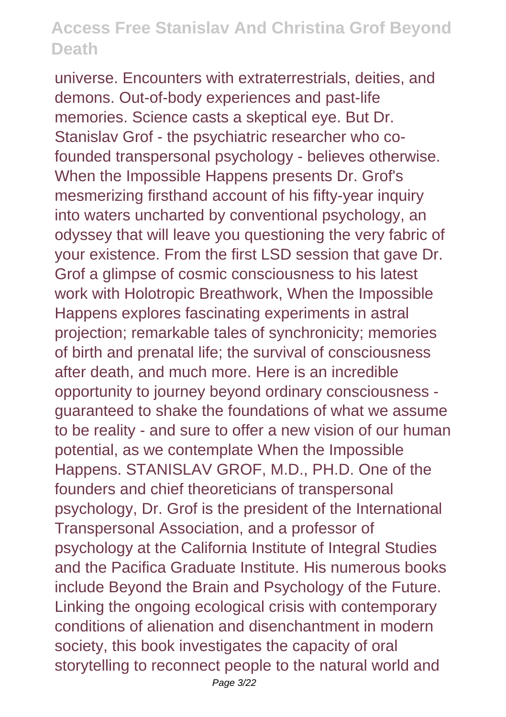universe. Encounters with extraterrestrials, deities, and demons. Out-of-body experiences and past-life memories. Science casts a skeptical eye. But Dr. Stanislav Grof - the psychiatric researcher who cofounded transpersonal psychology - believes otherwise. When the Impossible Happens presents Dr. Grof's mesmerizing firsthand account of his fifty-year inquiry into waters uncharted by conventional psychology, an odyssey that will leave you questioning the very fabric of your existence. From the first LSD session that gave Dr. Grof a glimpse of cosmic consciousness to his latest work with Holotropic Breathwork, When the Impossible Happens explores fascinating experiments in astral projection; remarkable tales of synchronicity; memories of birth and prenatal life; the survival of consciousness after death, and much more. Here is an incredible opportunity to journey beyond ordinary consciousness guaranteed to shake the foundations of what we assume to be reality - and sure to offer a new vision of our human potential, as we contemplate When the Impossible Happens. STANISLAV GROF, M.D., PH.D. One of the founders and chief theoreticians of transpersonal psychology, Dr. Grof is the president of the International Transpersonal Association, and a professor of psychology at the California Institute of Integral Studies and the Pacifica Graduate Institute. His numerous books include Beyond the Brain and Psychology of the Future. Linking the ongoing ecological crisis with contemporary conditions of alienation and disenchantment in modern society, this book investigates the capacity of oral storytelling to reconnect people to the natural world and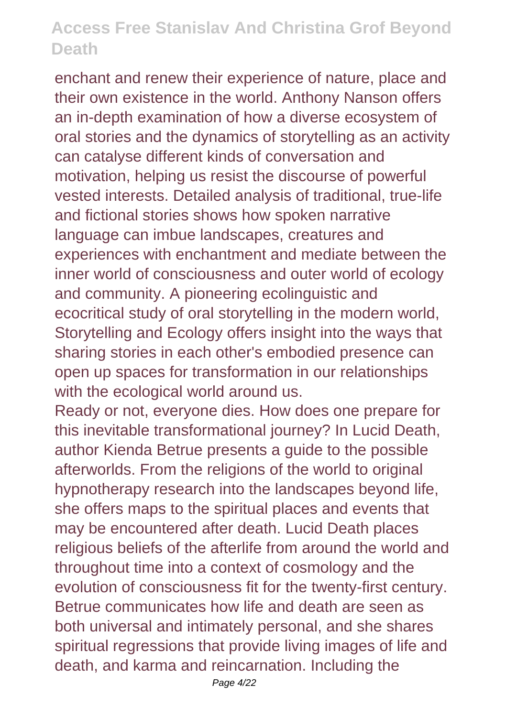enchant and renew their experience of nature, place and their own existence in the world. Anthony Nanson offers an in-depth examination of how a diverse ecosystem of oral stories and the dynamics of storytelling as an activity can catalyse different kinds of conversation and motivation, helping us resist the discourse of powerful vested interests. Detailed analysis of traditional, true-life and fictional stories shows how spoken narrative language can imbue landscapes, creatures and experiences with enchantment and mediate between the inner world of consciousness and outer world of ecology and community. A pioneering ecolinguistic and ecocritical study of oral storytelling in the modern world, Storytelling and Ecology offers insight into the ways that sharing stories in each other's embodied presence can open up spaces for transformation in our relationships with the ecological world around us.

Ready or not, everyone dies. How does one prepare for this inevitable transformational journey? In Lucid Death, author Kienda Betrue presents a guide to the possible afterworlds. From the religions of the world to original hypnotherapy research into the landscapes beyond life, she offers maps to the spiritual places and events that may be encountered after death. Lucid Death places religious beliefs of the afterlife from around the world and throughout time into a context of cosmology and the evolution of consciousness fit for the twenty-first century. Betrue communicates how life and death are seen as both universal and intimately personal, and she shares spiritual regressions that provide living images of life and death, and karma and reincarnation. Including the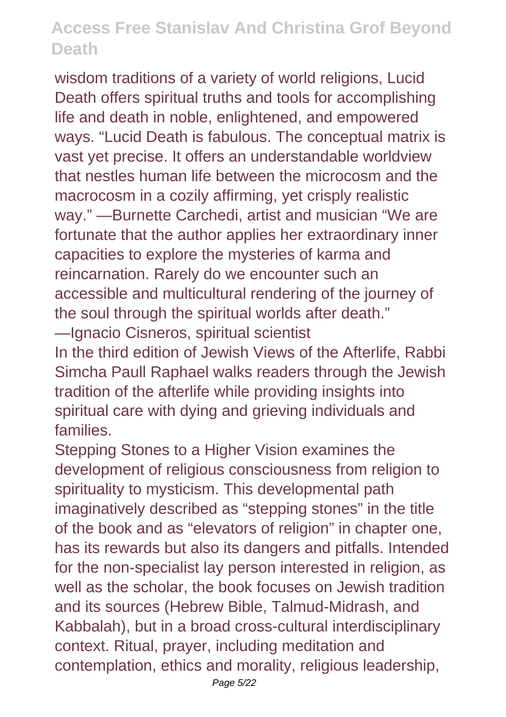wisdom traditions of a variety of world religions, Lucid Death offers spiritual truths and tools for accomplishing life and death in noble, enlightened, and empowered ways. "Lucid Death is fabulous. The conceptual matrix is vast yet precise. It offers an understandable worldview that nestles human life between the microcosm and the macrocosm in a cozily affirming, yet crisply realistic way." —Burnette Carchedi, artist and musician "We are fortunate that the author applies her extraordinary inner capacities to explore the mysteries of karma and reincarnation. Rarely do we encounter such an accessible and multicultural rendering of the journey of the soul through the spiritual worlds after death." —Ignacio Cisneros, spiritual scientist In the third edition of Jewish Views of the Afterlife, Rabbi Simcha Paull Raphael walks readers through the Jewish tradition of the afterlife while providing insights into spiritual care with dying and grieving individuals and families.

Stepping Stones to a Higher Vision examines the development of religious consciousness from religion to spirituality to mysticism. This developmental path imaginatively described as "stepping stones" in the title of the book and as "elevators of religion" in chapter one, has its rewards but also its dangers and pitfalls. Intended for the non-specialist lay person interested in religion, as well as the scholar, the book focuses on Jewish tradition and its sources (Hebrew Bible, Talmud-Midrash, and Kabbalah), but in a broad cross-cultural interdisciplinary context. Ritual, prayer, including meditation and contemplation, ethics and morality, religious leadership,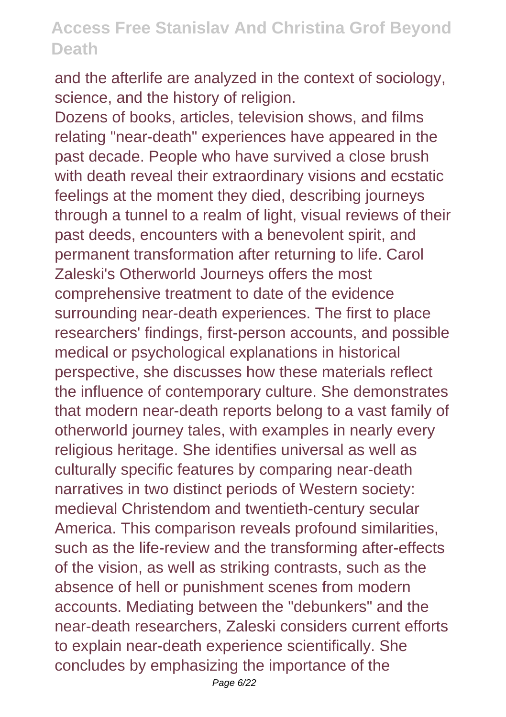and the afterlife are analyzed in the context of sociology, science, and the history of religion.

Dozens of books, articles, television shows, and films relating "near-death" experiences have appeared in the past decade. People who have survived a close brush with death reveal their extraordinary visions and ecstatic feelings at the moment they died, describing journeys through a tunnel to a realm of light, visual reviews of their past deeds, encounters with a benevolent spirit, and permanent transformation after returning to life. Carol Zaleski's Otherworld Journeys offers the most comprehensive treatment to date of the evidence surrounding near-death experiences. The first to place researchers' findings, first-person accounts, and possible medical or psychological explanations in historical perspective, she discusses how these materials reflect the influence of contemporary culture. She demonstrates that modern near-death reports belong to a vast family of otherworld journey tales, with examples in nearly every religious heritage. She identifies universal as well as culturally specific features by comparing near-death narratives in two distinct periods of Western society: medieval Christendom and twentieth-century secular America. This comparison reveals profound similarities, such as the life-review and the transforming after-effects of the vision, as well as striking contrasts, such as the absence of hell or punishment scenes from modern accounts. Mediating between the "debunkers" and the near-death researchers, Zaleski considers current efforts to explain near-death experience scientifically. She concludes by emphasizing the importance of the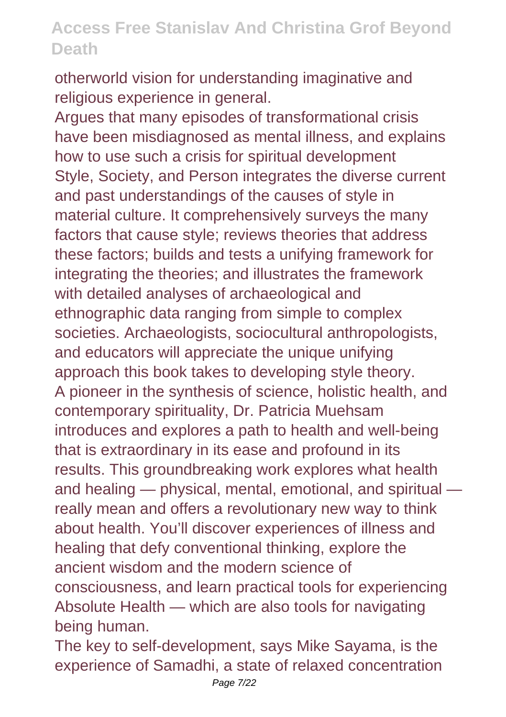otherworld vision for understanding imaginative and religious experience in general.

Argues that many episodes of transformational crisis have been misdiagnosed as mental illness, and explains how to use such a crisis for spiritual development Style, Society, and Person integrates the diverse current and past understandings of the causes of style in material culture. It comprehensively surveys the many factors that cause style; reviews theories that address these factors; builds and tests a unifying framework for integrating the theories; and illustrates the framework with detailed analyses of archaeological and ethnographic data ranging from simple to complex societies. Archaeologists, sociocultural anthropologists, and educators will appreciate the unique unifying approach this book takes to developing style theory. A pioneer in the synthesis of science, holistic health, and contemporary spirituality, Dr. Patricia Muehsam introduces and explores a path to health and well-being that is extraordinary in its ease and profound in its results. This groundbreaking work explores what health and healing — physical, mental, emotional, and spiritual really mean and offers a revolutionary new way to think about health. You'll discover experiences of illness and healing that defy conventional thinking, explore the ancient wisdom and the modern science of consciousness, and learn practical tools for experiencing Absolute Health — which are also tools for navigating being human.

The key to self-development, says Mike Sayama, is the experience of Samadhi, a state of relaxed concentration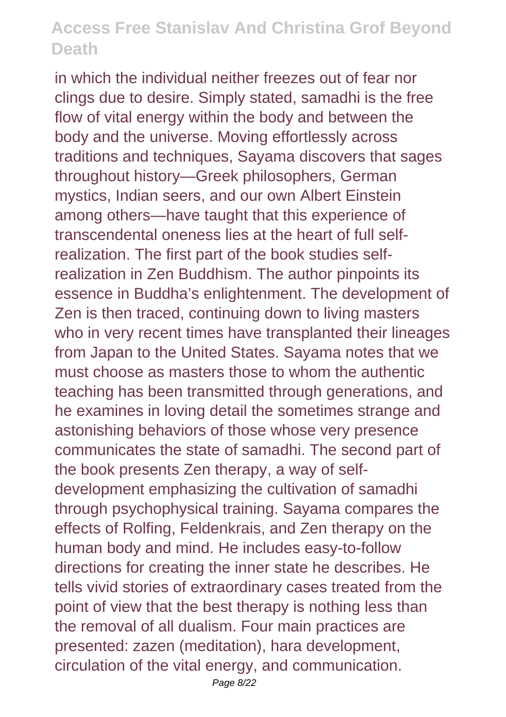in which the individual neither freezes out of fear nor clings due to desire. Simply stated, samadhi is the free flow of vital energy within the body and between the body and the universe. Moving effortlessly across traditions and techniques, Sayama discovers that sages throughout history—Greek philosophers, German mystics, Indian seers, and our own Albert Einstein among others—have taught that this experience of transcendental oneness lies at the heart of full selfrealization. The first part of the book studies selfrealization in Zen Buddhism. The author pinpoints its essence in Buddha's enlightenment. The development of Zen is then traced, continuing down to living masters who in very recent times have transplanted their lineages from Japan to the United States. Sayama notes that we must choose as masters those to whom the authentic teaching has been transmitted through generations, and he examines in loving detail the sometimes strange and astonishing behaviors of those whose very presence communicates the state of samadhi. The second part of the book presents Zen therapy, a way of selfdevelopment emphasizing the cultivation of samadhi through psychophysical training. Sayama compares the effects of Rolfing, Feldenkrais, and Zen therapy on the human body and mind. He includes easy-to-follow directions for creating the inner state he describes. He tells vivid stories of extraordinary cases treated from the point of view that the best therapy is nothing less than the removal of all dualism. Four main practices are presented: zazen (meditation), hara development, circulation of the vital energy, and communication.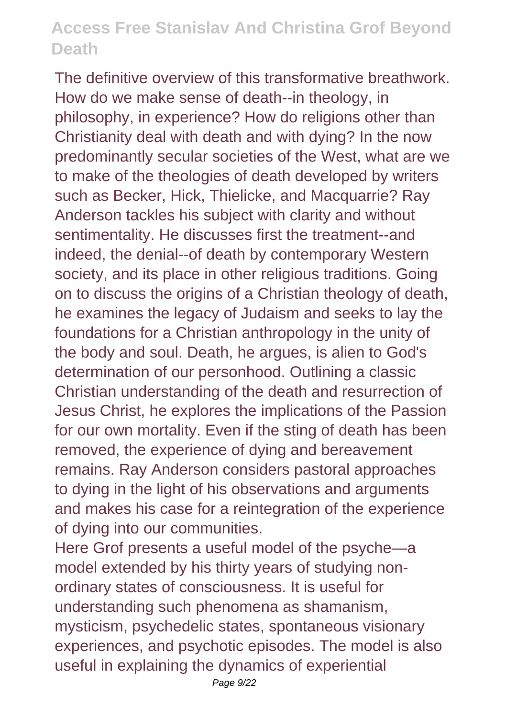The definitive overview of this transformative breathwork. How do we make sense of death--in theology, in philosophy, in experience? How do religions other than Christianity deal with death and with dying? In the now predominantly secular societies of the West, what are we to make of the theologies of death developed by writers such as Becker, Hick, Thielicke, and Macquarrie? Ray Anderson tackles his subject with clarity and without sentimentality. He discusses first the treatment--and indeed, the denial--of death by contemporary Western society, and its place in other religious traditions. Going on to discuss the origins of a Christian theology of death, he examines the legacy of Judaism and seeks to lay the foundations for a Christian anthropology in the unity of the body and soul. Death, he argues, is alien to God's determination of our personhood. Outlining a classic Christian understanding of the death and resurrection of Jesus Christ, he explores the implications of the Passion for our own mortality. Even if the sting of death has been removed, the experience of dying and bereavement remains. Ray Anderson considers pastoral approaches to dying in the light of his observations and arguments and makes his case for a reintegration of the experience of dying into our communities.

Here Grof presents a useful model of the psyche—a model extended by his thirty years of studying nonordinary states of consciousness. It is useful for understanding such phenomena as shamanism, mysticism, psychedelic states, spontaneous visionary experiences, and psychotic episodes. The model is also useful in explaining the dynamics of experiential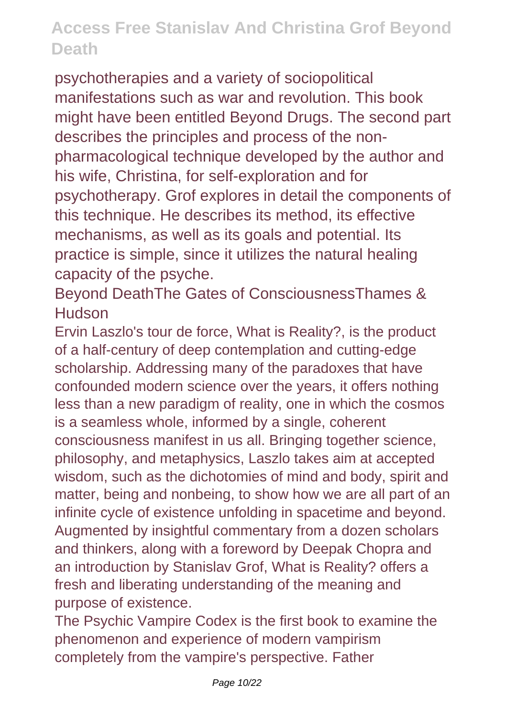psychotherapies and a variety of sociopolitical manifestations such as war and revolution. This book might have been entitled Beyond Drugs. The second part describes the principles and process of the nonpharmacological technique developed by the author and his wife, Christina, for self-exploration and for psychotherapy. Grof explores in detail the components of this technique. He describes its method, its effective mechanisms, as well as its goals and potential. Its practice is simple, since it utilizes the natural healing capacity of the psyche.

Beyond DeathThe Gates of ConsciousnessThames & **Hudson** 

Ervin Laszlo's tour de force, What is Reality?, is the product of a half-century of deep contemplation and cutting-edge scholarship. Addressing many of the paradoxes that have confounded modern science over the years, it offers nothing less than a new paradigm of reality, one in which the cosmos is a seamless whole, informed by a single, coherent consciousness manifest in us all. Bringing together science, philosophy, and metaphysics, Laszlo takes aim at accepted wisdom, such as the dichotomies of mind and body, spirit and matter, being and nonbeing, to show how we are all part of an infinite cycle of existence unfolding in spacetime and beyond. Augmented by insightful commentary from a dozen scholars and thinkers, along with a foreword by Deepak Chopra and an introduction by Stanislav Grof, What is Reality? offers a fresh and liberating understanding of the meaning and purpose of existence.

The Psychic Vampire Codex is the first book to examine the phenomenon and experience of modern vampirism completely from the vampire's perspective. Father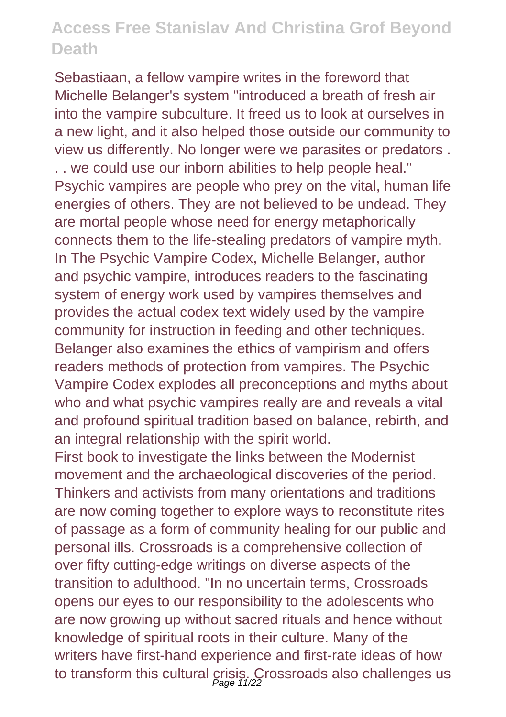Sebastiaan, a fellow vampire writes in the foreword that Michelle Belanger's system "introduced a breath of fresh air into the vampire subculture. It freed us to look at ourselves in a new light, and it also helped those outside our community to view us differently. No longer were we parasites or predators . . . we could use our inborn abilities to help people heal." Psychic vampires are people who prey on the vital, human life energies of others. They are not believed to be undead. They are mortal people whose need for energy metaphorically connects them to the life-stealing predators of vampire myth. In The Psychic Vampire Codex, Michelle Belanger, author and psychic vampire, introduces readers to the fascinating system of energy work used by vampires themselves and provides the actual codex text widely used by the vampire community for instruction in feeding and other techniques. Belanger also examines the ethics of vampirism and offers readers methods of protection from vampires. The Psychic Vampire Codex explodes all preconceptions and myths about who and what psychic vampires really are and reveals a vital and profound spiritual tradition based on balance, rebirth, and an integral relationship with the spirit world.

First book to investigate the links between the Modernist movement and the archaeological discoveries of the period. Thinkers and activists from many orientations and traditions are now coming together to explore ways to reconstitute rites of passage as a form of community healing for our public and personal ills. Crossroads is a comprehensive collection of over fifty cutting-edge writings on diverse aspects of the transition to adulthood. "In no uncertain terms, Crossroads opens our eyes to our responsibility to the adolescents who are now growing up without sacred rituals and hence without knowledge of spiritual roots in their culture. Many of the writers have first-hand experience and first-rate ideas of how to transform this cultural crisis. Crossroads also challenges us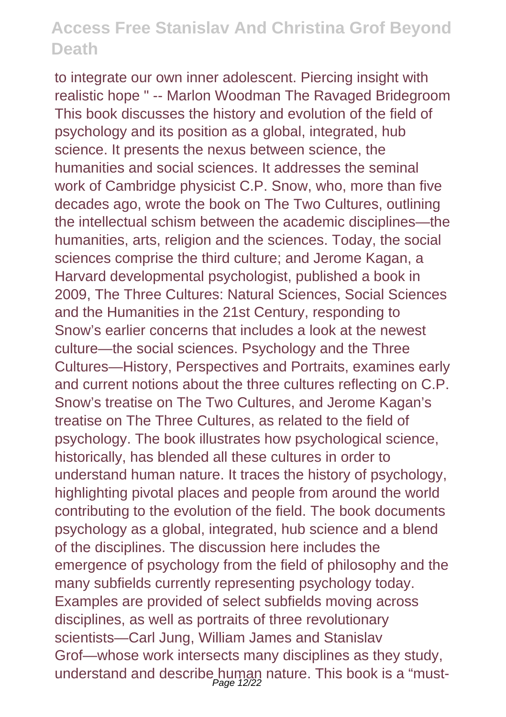to integrate our own inner adolescent. Piercing insight with realistic hope " -- Marlon Woodman The Ravaged Bridegroom This book discusses the history and evolution of the field of psychology and its position as a global, integrated, hub science. It presents the nexus between science, the humanities and social sciences. It addresses the seminal work of Cambridge physicist C.P. Snow, who, more than five decades ago, wrote the book on The Two Cultures, outlining the intellectual schism between the academic disciplines—the humanities, arts, religion and the sciences. Today, the social sciences comprise the third culture; and Jerome Kagan, a Harvard developmental psychologist, published a book in 2009, The Three Cultures: Natural Sciences, Social Sciences and the Humanities in the 21st Century, responding to Snow's earlier concerns that includes a look at the newest culture—the social sciences. Psychology and the Three Cultures—History, Perspectives and Portraits, examines early and current notions about the three cultures reflecting on C.P. Snow's treatise on The Two Cultures, and Jerome Kagan's treatise on The Three Cultures, as related to the field of psychology. The book illustrates how psychological science, historically, has blended all these cultures in order to understand human nature. It traces the history of psychology, highlighting pivotal places and people from around the world contributing to the evolution of the field. The book documents psychology as a global, integrated, hub science and a blend of the disciplines. The discussion here includes the emergence of psychology from the field of philosophy and the many subfields currently representing psychology today. Examples are provided of select subfields moving across disciplines, as well as portraits of three revolutionary scientists—Carl Jung, William James and Stanislav Grof—whose work intersects many disciplines as they study, understand and describe human nature. This book is a "must-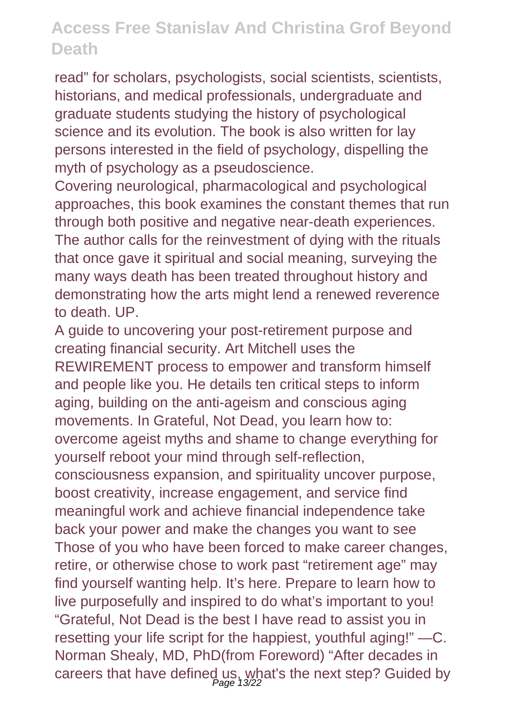read" for scholars, psychologists, social scientists, scientists, historians, and medical professionals, undergraduate and graduate students studying the history of psychological science and its evolution. The book is also written for lay persons interested in the field of psychology, dispelling the myth of psychology as a pseudoscience.

Covering neurological, pharmacological and psychological approaches, this book examines the constant themes that run through both positive and negative near-death experiences. The author calls for the reinvestment of dying with the rituals that once gave it spiritual and social meaning, surveying the many ways death has been treated throughout history and demonstrating how the arts might lend a renewed reverence to death. UP.

A guide to uncovering your post-retirement purpose and creating financial security. Art Mitchell uses the REWIREMENT process to empower and transform himself and people like you. He details ten critical steps to inform aging, building on the anti-ageism and conscious aging movements. In Grateful, Not Dead, you learn how to: overcome ageist myths and shame to change everything for yourself reboot your mind through self-reflection, consciousness expansion, and spirituality uncover purpose, boost creativity, increase engagement, and service find meaningful work and achieve financial independence take back your power and make the changes you want to see Those of you who have been forced to make career changes, retire, or otherwise chose to work past "retirement age" may find yourself wanting help. It's here. Prepare to learn how to live purposefully and inspired to do what's important to you! "Grateful, Not Dead is the best I have read to assist you in resetting your life script for the happiest, youthful aging!" —C. Norman Shealy, MD, PhD(from Foreword) "After decades in careers that have defined us, what's the next step? Guided by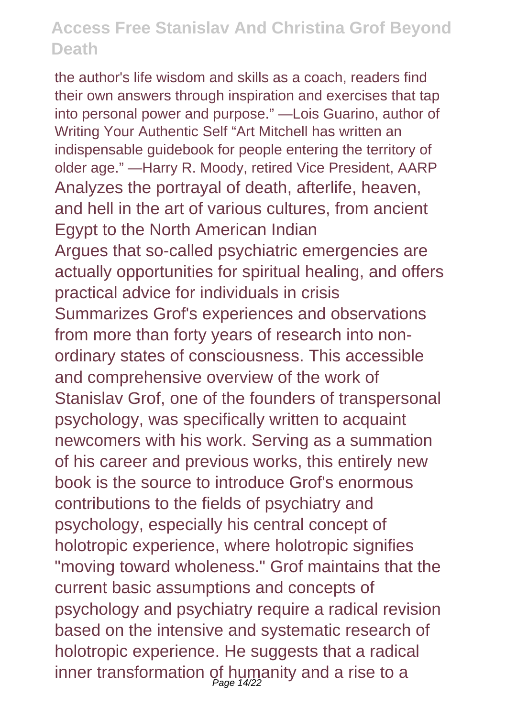the author's life wisdom and skills as a coach, readers find their own answers through inspiration and exercises that tap into personal power and purpose." —Lois Guarino, author of Writing Your Authentic Self "Art Mitchell has written an indispensable guidebook for people entering the territory of older age." —Harry R. Moody, retired Vice President, AARP Analyzes the portrayal of death, afterlife, heaven, and hell in the art of various cultures, from ancient Egypt to the North American Indian Argues that so-called psychiatric emergencies are actually opportunities for spiritual healing, and offers practical advice for individuals in crisis Summarizes Grof's experiences and observations from more than forty years of research into nonordinary states of consciousness. This accessible and comprehensive overview of the work of Stanislav Grof, one of the founders of transpersonal psychology, was specifically written to acquaint newcomers with his work. Serving as a summation of his career and previous works, this entirely new book is the source to introduce Grof's enormous contributions to the fields of psychiatry and psychology, especially his central concept of holotropic experience, where holotropic signifies "moving toward wholeness." Grof maintains that the current basic assumptions and concepts of psychology and psychiatry require a radical revision based on the intensive and systematic research of holotropic experience. He suggests that a radical inner transformation of humanity and a rise to a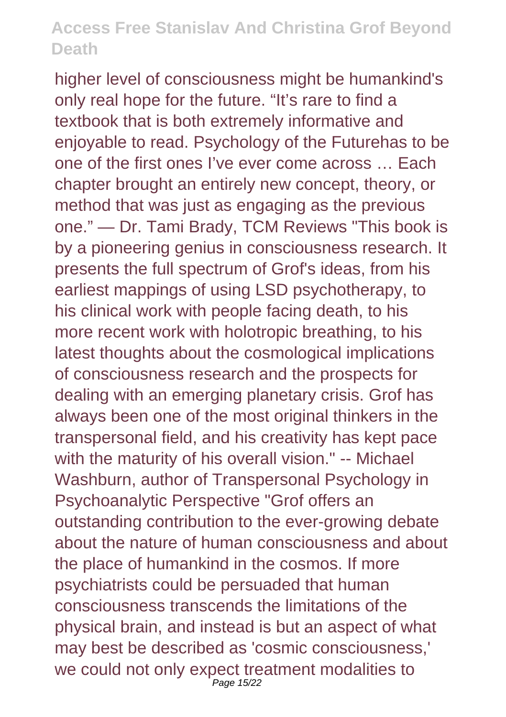higher level of consciousness might be humankind's only real hope for the future. "It's rare to find a textbook that is both extremely informative and enjoyable to read. Psychology of the Futurehas to be one of the first ones I've ever come across … Each chapter brought an entirely new concept, theory, or method that was just as engaging as the previous one." — Dr. Tami Brady, TCM Reviews "This book is by a pioneering genius in consciousness research. It presents the full spectrum of Grof's ideas, from his earliest mappings of using LSD psychotherapy, to his clinical work with people facing death, to his more recent work with holotropic breathing, to his latest thoughts about the cosmological implications of consciousness research and the prospects for dealing with an emerging planetary crisis. Grof has always been one of the most original thinkers in the transpersonal field, and his creativity has kept pace with the maturity of his overall vision." -- Michael Washburn, author of Transpersonal Psychology in Psychoanalytic Perspective "Grof offers an outstanding contribution to the ever-growing debate about the nature of human consciousness and about the place of humankind in the cosmos. If more psychiatrists could be persuaded that human consciousness transcends the limitations of the physical brain, and instead is but an aspect of what may best be described as 'cosmic consciousness,' we could not only expect treatment modalities to Page 15/22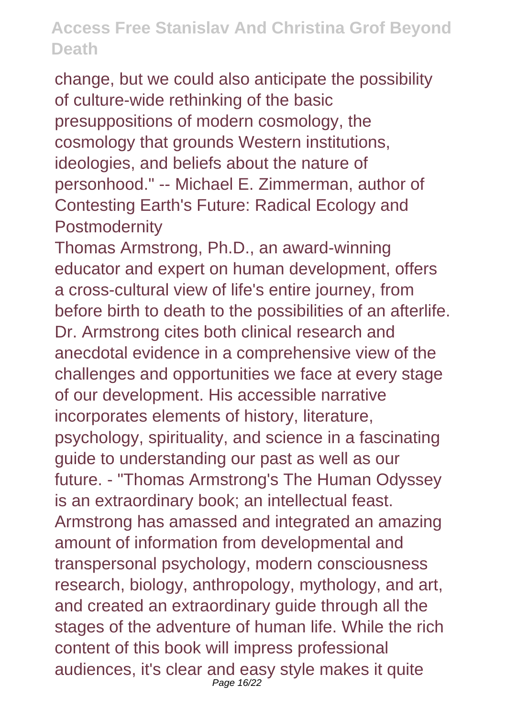change, but we could also anticipate the possibility of culture-wide rethinking of the basic presuppositions of modern cosmology, the cosmology that grounds Western institutions, ideologies, and beliefs about the nature of personhood." -- Michael E. Zimmerman, author of Contesting Earth's Future: Radical Ecology and **Postmodernity** 

Thomas Armstrong, Ph.D., an award-winning educator and expert on human development, offers a cross-cultural view of life's entire journey, from before birth to death to the possibilities of an afterlife. Dr. Armstrong cites both clinical research and anecdotal evidence in a comprehensive view of the challenges and opportunities we face at every stage of our development. His accessible narrative incorporates elements of history, literature, psychology, spirituality, and science in a fascinating guide to understanding our past as well as our future. - "Thomas Armstrong's The Human Odyssey is an extraordinary book; an intellectual feast. Armstrong has amassed and integrated an amazing amount of information from developmental and transpersonal psychology, modern consciousness research, biology, anthropology, mythology, and art, and created an extraordinary guide through all the stages of the adventure of human life. While the rich content of this book will impress professional audiences, it's clear and easy style makes it quite Page 16/22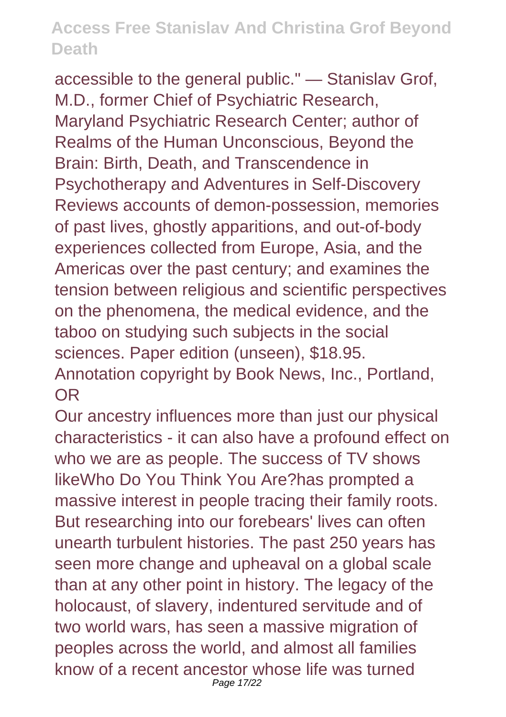accessible to the general public." — Stanislav Grof, M.D., former Chief of Psychiatric Research, Maryland Psychiatric Research Center; author of Realms of the Human Unconscious, Beyond the Brain: Birth, Death, and Transcendence in Psychotherapy and Adventures in Self-Discovery Reviews accounts of demon-possession, memories of past lives, ghostly apparitions, and out-of-body experiences collected from Europe, Asia, and the Americas over the past century; and examines the tension between religious and scientific perspectives on the phenomena, the medical evidence, and the taboo on studying such subjects in the social sciences. Paper edition (unseen), \$18.95. Annotation copyright by Book News, Inc., Portland, OR

Our ancestry influences more than just our physical characteristics - it can also have a profound effect on who we are as people. The success of TV shows likeWho Do You Think You Are?has prompted a massive interest in people tracing their family roots. But researching into our forebears' lives can often unearth turbulent histories. The past 250 years has seen more change and upheaval on a global scale than at any other point in history. The legacy of the holocaust, of slavery, indentured servitude and of two world wars, has seen a massive migration of peoples across the world, and almost all families know of a recent ancestor whose life was turned Page 17/22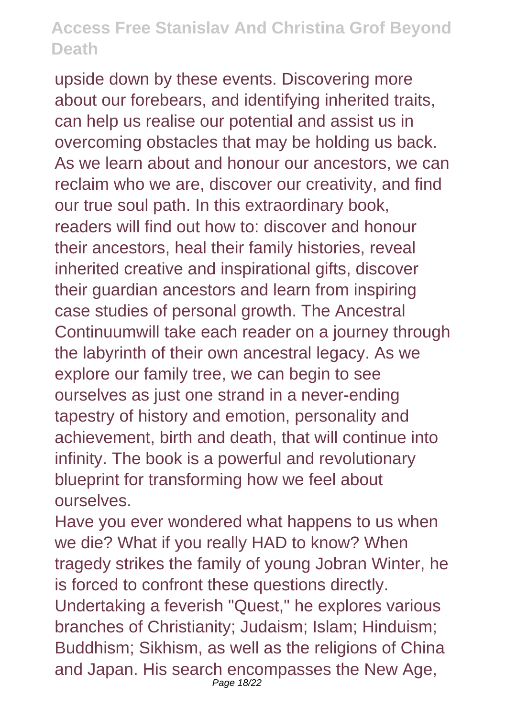upside down by these events. Discovering more about our forebears, and identifying inherited traits, can help us realise our potential and assist us in overcoming obstacles that may be holding us back. As we learn about and honour our ancestors, we can reclaim who we are, discover our creativity, and find our true soul path. In this extraordinary book, readers will find out how to: discover and honour their ancestors, heal their family histories, reveal inherited creative and inspirational gifts, discover their guardian ancestors and learn from inspiring case studies of personal growth. The Ancestral Continuumwill take each reader on a journey through the labyrinth of their own ancestral legacy. As we explore our family tree, we can begin to see ourselves as just one strand in a never-ending tapestry of history and emotion, personality and achievement, birth and death, that will continue into infinity. The book is a powerful and revolutionary blueprint for transforming how we feel about ourselves.

Have you ever wondered what happens to us when we die? What if you really HAD to know? When tragedy strikes the family of young Jobran Winter, he is forced to confront these questions directly. Undertaking a feverish "Quest," he explores various branches of Christianity; Judaism; Islam; Hinduism; Buddhism; Sikhism, as well as the religions of China and Japan. His search encompasses the New Age, Page 18/22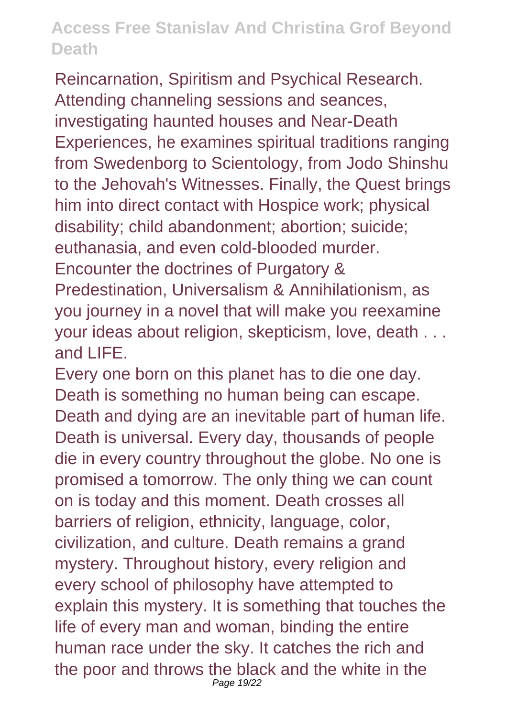Reincarnation, Spiritism and Psychical Research. Attending channeling sessions and seances, investigating haunted houses and Near-Death Experiences, he examines spiritual traditions ranging from Swedenborg to Scientology, from Jodo Shinshu to the Jehovah's Witnesses. Finally, the Quest brings him into direct contact with Hospice work; physical disability; child abandonment; abortion; suicide; euthanasia, and even cold-blooded murder. Encounter the doctrines of Purgatory & Predestination, Universalism & Annihilationism, as you journey in a novel that will make you reexamine your ideas about religion, skepticism, love, death . . . and LIFE.

Every one born on this planet has to die one day. Death is something no human being can escape. Death and dying are an inevitable part of human life. Death is universal. Every day, thousands of people die in every country throughout the globe. No one is promised a tomorrow. The only thing we can count on is today and this moment. Death crosses all barriers of religion, ethnicity, language, color, civilization, and culture. Death remains a grand mystery. Throughout history, every religion and every school of philosophy have attempted to explain this mystery. It is something that touches the life of every man and woman, binding the entire human race under the sky. It catches the rich and the poor and throws the black and the white in the Page 19/22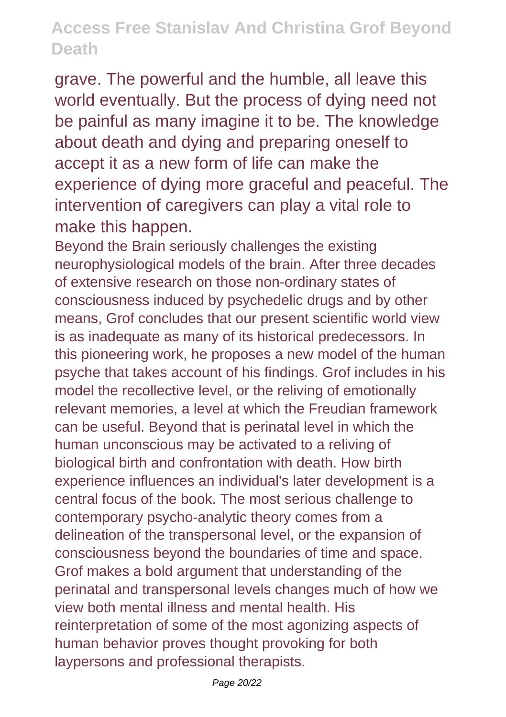grave. The powerful and the humble, all leave this world eventually. But the process of dying need not be painful as many imagine it to be. The knowledge about death and dying and preparing oneself to accept it as a new form of life can make the experience of dying more graceful and peaceful. The intervention of caregivers can play a vital role to make this happen.

Beyond the Brain seriously challenges the existing neurophysiological models of the brain. After three decades of extensive research on those non-ordinary states of consciousness induced by psychedelic drugs and by other means, Grof concludes that our present scientific world view is as inadequate as many of its historical predecessors. In this pioneering work, he proposes a new model of the human psyche that takes account of his findings. Grof includes in his model the recollective level, or the reliving of emotionally relevant memories, a level at which the Freudian framework can be useful. Beyond that is perinatal level in which the human unconscious may be activated to a reliving of biological birth and confrontation with death. How birth experience influences an individual's later development is a central focus of the book. The most serious challenge to contemporary psycho-analytic theory comes from a delineation of the transpersonal level, or the expansion of consciousness beyond the boundaries of time and space. Grof makes a bold argument that understanding of the perinatal and transpersonal levels changes much of how we view both mental illness and mental health. His reinterpretation of some of the most agonizing aspects of human behavior proves thought provoking for both laypersons and professional therapists.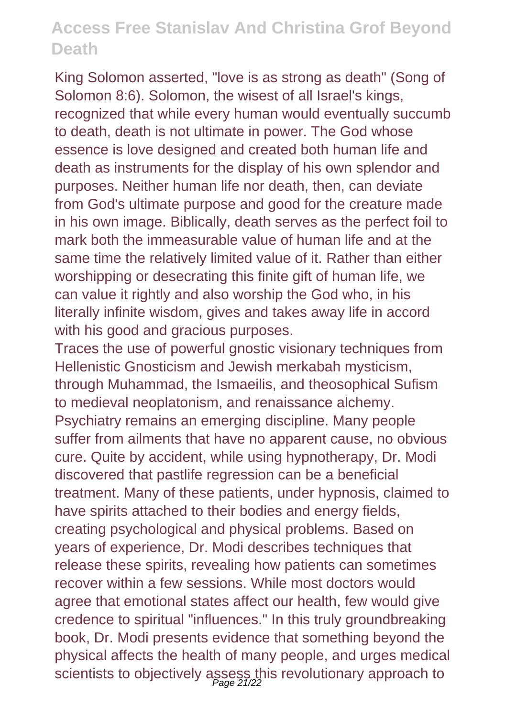King Solomon asserted, "love is as strong as death" (Song of Solomon 8:6). Solomon, the wisest of all Israel's kings, recognized that while every human would eventually succumb to death, death is not ultimate in power. The God whose essence is love designed and created both human life and death as instruments for the display of his own splendor and purposes. Neither human life nor death, then, can deviate from God's ultimate purpose and good for the creature made in his own image. Biblically, death serves as the perfect foil to mark both the immeasurable value of human life and at the same time the relatively limited value of it. Rather than either worshipping or desecrating this finite gift of human life, we can value it rightly and also worship the God who, in his literally infinite wisdom, gives and takes away life in accord with his good and gracious purposes.

Traces the use of powerful gnostic visionary techniques from Hellenistic Gnosticism and Jewish merkabah mysticism, through Muhammad, the Ismaeilis, and theosophical Sufism to medieval neoplatonism, and renaissance alchemy. Psychiatry remains an emerging discipline. Many people suffer from ailments that have no apparent cause, no obvious cure. Quite by accident, while using hypnotherapy, Dr. Modi discovered that pastlife regression can be a beneficial treatment. Many of these patients, under hypnosis, claimed to have spirits attached to their bodies and energy fields, creating psychological and physical problems. Based on years of experience, Dr. Modi describes techniques that release these spirits, revealing how patients can sometimes recover within a few sessions. While most doctors would agree that emotional states affect our health, few would give credence to spiritual "influences." In this truly groundbreaking book, Dr. Modi presents evidence that something beyond the physical affects the health of many people, and urges medical scientists to objectively assess this revolutionary approach to